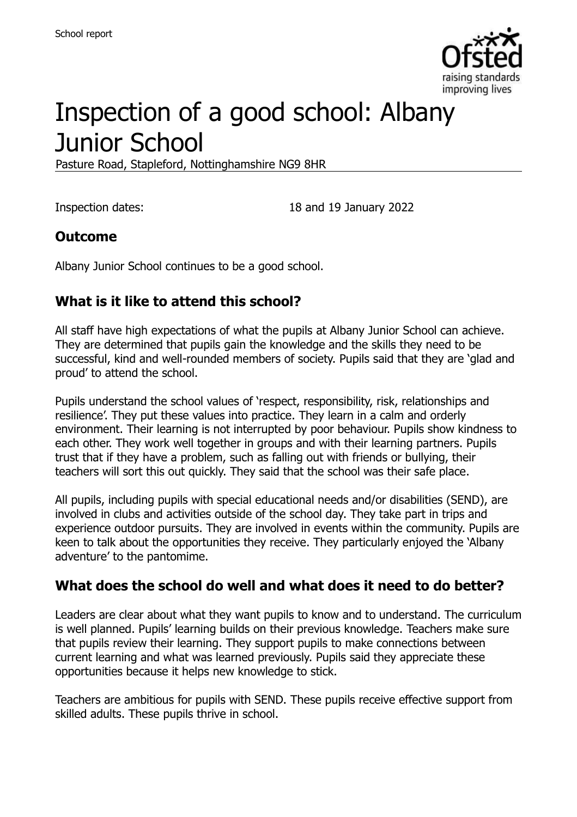

# Inspection of a good school: Albany Junior School

Pasture Road, Stapleford, Nottinghamshire NG9 8HR

Inspection dates: 18 and 19 January 2022

## **Outcome**

Albany Junior School continues to be a good school.

# **What is it like to attend this school?**

All staff have high expectations of what the pupils at Albany Junior School can achieve. They are determined that pupils gain the knowledge and the skills they need to be successful, kind and well-rounded members of society. Pupils said that they are 'glad and proud' to attend the school.

Pupils understand the school values of 'respect, responsibility, risk, relationships and resilience'. They put these values into practice. They learn in a calm and orderly environment. Their learning is not interrupted by poor behaviour. Pupils show kindness to each other. They work well together in groups and with their learning partners. Pupils trust that if they have a problem, such as falling out with friends or bullying, their teachers will sort this out quickly. They said that the school was their safe place.

All pupils, including pupils with special educational needs and/or disabilities (SEND), are involved in clubs and activities outside of the school day. They take part in trips and experience outdoor pursuits. They are involved in events within the community. Pupils are keen to talk about the opportunities they receive. They particularly enjoyed the 'Albany adventure' to the pantomime.

## **What does the school do well and what does it need to do better?**

Leaders are clear about what they want pupils to know and to understand. The curriculum is well planned. Pupils' learning builds on their previous knowledge. Teachers make sure that pupils review their learning. They support pupils to make connections between current learning and what was learned previously. Pupils said they appreciate these opportunities because it helps new knowledge to stick.

Teachers are ambitious for pupils with SEND. These pupils receive effective support from skilled adults. These pupils thrive in school.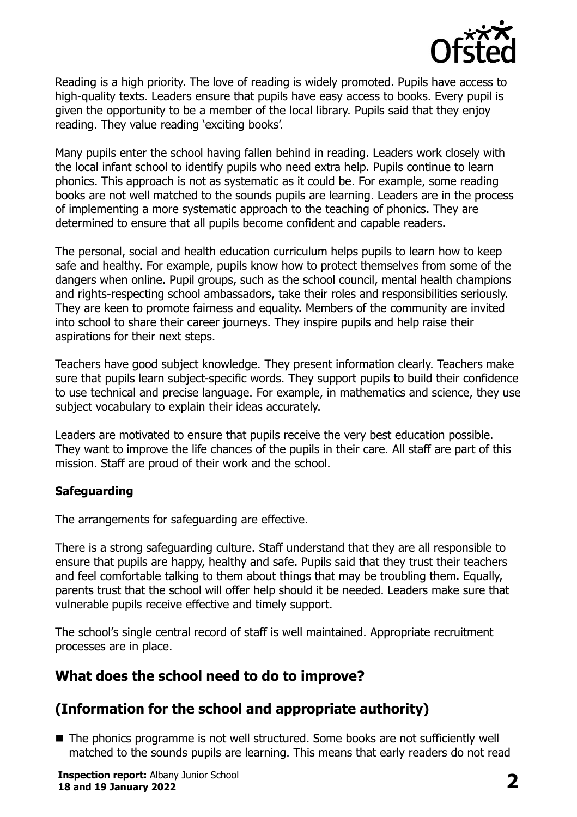

Reading is a high priority. The love of reading is widely promoted. Pupils have access to high-quality texts. Leaders ensure that pupils have easy access to books. Every pupil is given the opportunity to be a member of the local library. Pupils said that they enjoy reading. They value reading 'exciting books'.

Many pupils enter the school having fallen behind in reading. Leaders work closely with the local infant school to identify pupils who need extra help. Pupils continue to learn phonics. This approach is not as systematic as it could be. For example, some reading books are not well matched to the sounds pupils are learning. Leaders are in the process of implementing a more systematic approach to the teaching of phonics. They are determined to ensure that all pupils become confident and capable readers.

The personal, social and health education curriculum helps pupils to learn how to keep safe and healthy. For example, pupils know how to protect themselves from some of the dangers when online. Pupil groups, such as the school council, mental health champions and rights-respecting school ambassadors, take their roles and responsibilities seriously. They are keen to promote fairness and equality. Members of the community are invited into school to share their career journeys. They inspire pupils and help raise their aspirations for their next steps.

Teachers have good subject knowledge. They present information clearly. Teachers make sure that pupils learn subject-specific words. They support pupils to build their confidence to use technical and precise language. For example, in mathematics and science, they use subject vocabulary to explain their ideas accurately.

Leaders are motivated to ensure that pupils receive the very best education possible. They want to improve the life chances of the pupils in their care. All staff are part of this mission. Staff are proud of their work and the school.

#### **Safeguarding**

The arrangements for safeguarding are effective.

There is a strong safeguarding culture. Staff understand that they are all responsible to ensure that pupils are happy, healthy and safe. Pupils said that they trust their teachers and feel comfortable talking to them about things that may be troubling them. Equally, parents trust that the school will offer help should it be needed. Leaders make sure that vulnerable pupils receive effective and timely support.

The school's single central record of staff is well maintained. Appropriate recruitment processes are in place.

## **What does the school need to do to improve?**

# **(Information for the school and appropriate authority)**

■ The phonics programme is not well structured. Some books are not sufficiently well matched to the sounds pupils are learning. This means that early readers do not read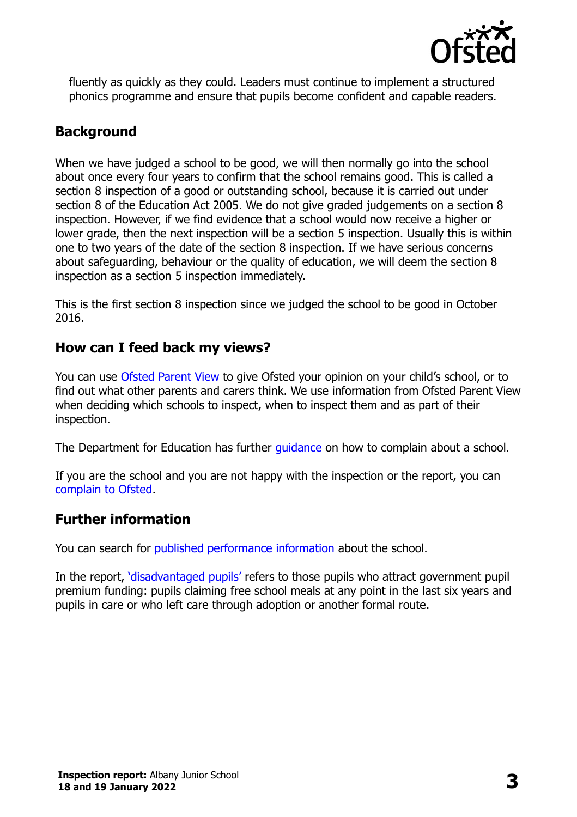

fluently as quickly as they could. Leaders must continue to implement a structured phonics programme and ensure that pupils become confident and capable readers.

# **Background**

When we have judged a school to be good, we will then normally go into the school about once every four years to confirm that the school remains good. This is called a section 8 inspection of a good or outstanding school, because it is carried out under section 8 of the Education Act 2005. We do not give graded judgements on a section 8 inspection. However, if we find evidence that a school would now receive a higher or lower grade, then the next inspection will be a section 5 inspection. Usually this is within one to two years of the date of the section 8 inspection. If we have serious concerns about safeguarding, behaviour or the quality of education, we will deem the section 8 inspection as a section 5 inspection immediately.

This is the first section 8 inspection since we judged the school to be good in October 2016.

## **How can I feed back my views?**

You can use [Ofsted Parent View](https://parentview.ofsted.gov.uk/) to give Ofsted your opinion on your child's school, or to find out what other parents and carers think. We use information from Ofsted Parent View when deciding which schools to inspect, when to inspect them and as part of their inspection.

The Department for Education has further [guidance](http://www.gov.uk/complain-about-school) on how to complain about a school.

If you are the school and you are not happy with the inspection or the report, you can [complain to Ofsted.](https://www.gov.uk/complain-ofsted-report)

# **Further information**

You can search for [published performance information](http://www.compare-school-performance.service.gov.uk/) about the school.

In the report, '[disadvantaged pupils](http://www.gov.uk/guidance/pupil-premium-information-for-schools-and-alternative-provision-settings)' refers to those pupils who attract government pupil premium funding: pupils claiming free school meals at any point in the last six years and pupils in care or who left care through adoption or another formal route.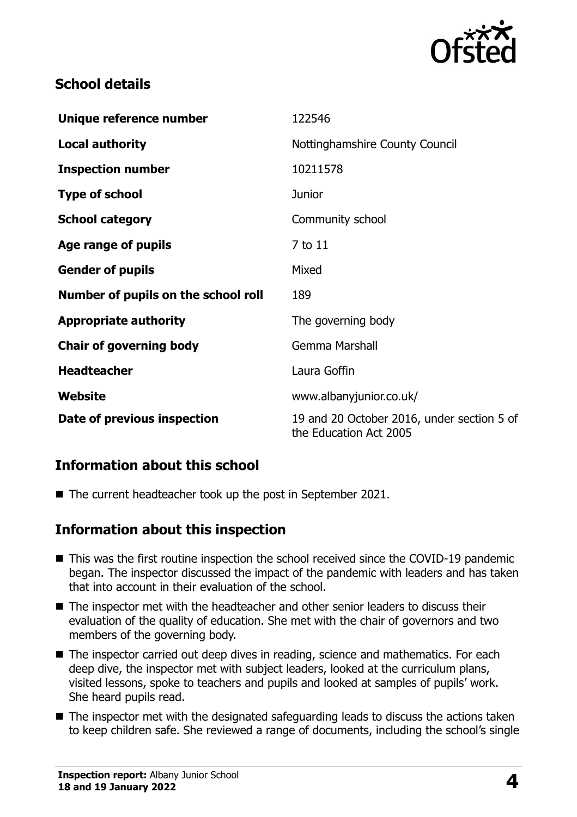

# **School details**

| Unique reference number             | 122546                                                               |
|-------------------------------------|----------------------------------------------------------------------|
| <b>Local authority</b>              | Nottinghamshire County Council                                       |
| <b>Inspection number</b>            | 10211578                                                             |
| <b>Type of school</b>               | <b>Junior</b>                                                        |
| <b>School category</b>              | Community school                                                     |
| Age range of pupils                 | 7 to 11                                                              |
| <b>Gender of pupils</b>             | Mixed                                                                |
| Number of pupils on the school roll | 189                                                                  |
| <b>Appropriate authority</b>        | The governing body                                                   |
| <b>Chair of governing body</b>      | Gemma Marshall                                                       |
| <b>Headteacher</b>                  | Laura Goffin                                                         |
| Website                             | www.albanyjunior.co.uk/                                              |
| Date of previous inspection         | 19 and 20 October 2016, under section 5 of<br>the Education Act 2005 |

## **Information about this school**

■ The current headteacher took up the post in September 2021.

## **Information about this inspection**

- This was the first routine inspection the school received since the COVID-19 pandemic began. The inspector discussed the impact of the pandemic with leaders and has taken that into account in their evaluation of the school.
- The inspector met with the headteacher and other senior leaders to discuss their evaluation of the quality of education. She met with the chair of governors and two members of the governing body.
- The inspector carried out deep dives in reading, science and mathematics. For each deep dive, the inspector met with subject leaders, looked at the curriculum plans, visited lessons, spoke to teachers and pupils and looked at samples of pupils' work. She heard pupils read.
- The inspector met with the designated safeguarding leads to discuss the actions taken to keep children safe. She reviewed a range of documents, including the school's single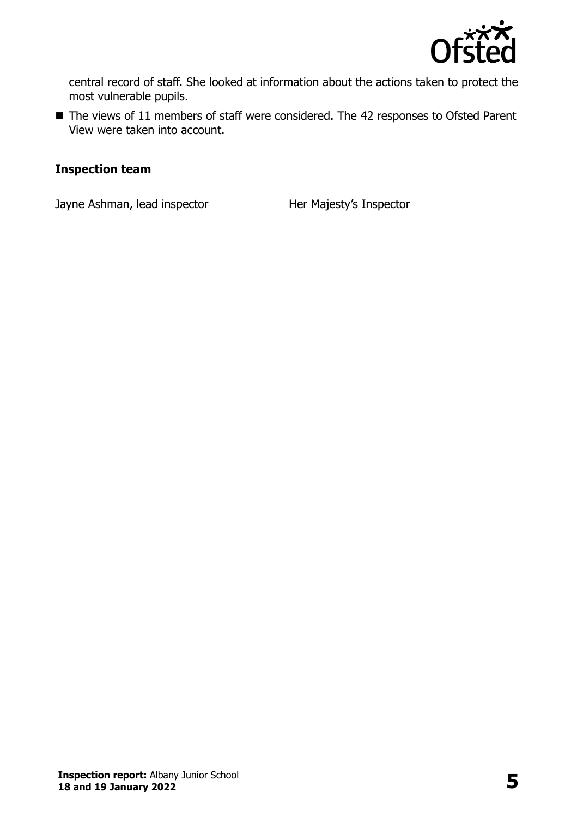

central record of staff. She looked at information about the actions taken to protect the most vulnerable pupils.

■ The views of 11 members of staff were considered. The 42 responses to Ofsted Parent View were taken into account.

#### **Inspection team**

Jayne Ashman, lead inspector **Her Majesty's Inspector**